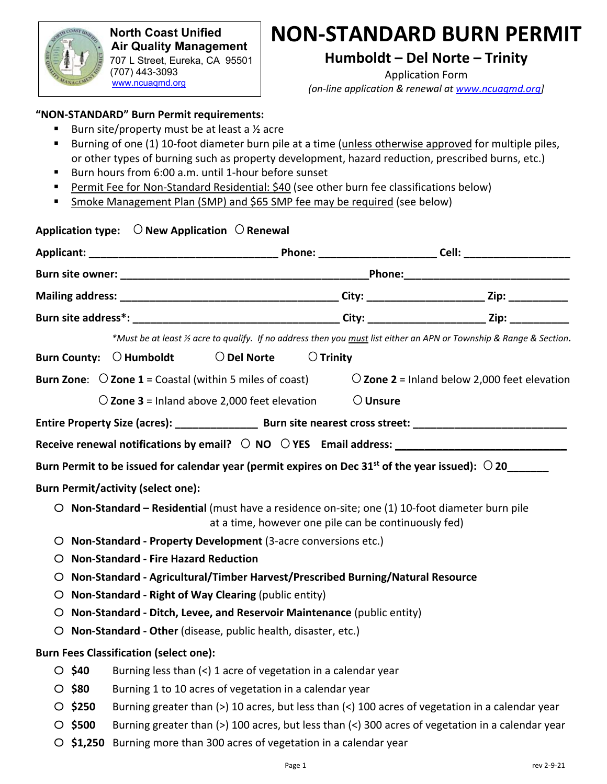

 **North Coast Unified Air Quality Management District** 707 L Street, Eureka, CA 95501 (707) 443-3093 www.ncuaqmd.org

# **NON-STANDARD BURN PERMIT**

**Humboldt – Del Norte – Trinity** 

Application Form *(on-line application & renewal at www.ncuaqmd.org]*

#### **"NON-STANDARD" Burn Permit requirements:**

- Burn site/property must be at least a  $\frac{1}{2}$  acre
- Burning of one (1) 10-foot diameter burn pile at a time (unless otherwise approved for multiple piles, or other types of burning such as property development, hazard reduction, prescribed burns, etc.)
- Burn hours from 6:00 a.m. until 1-hour before sunset
- Permit Fee for Non-Standard Residential: \$40 (see other burn fee classifications below)
- Smoke Management Plan (SMP) and \$65 SMP fee may be required (see below)

| Application type: $\bigcirc$ New Application $\bigcirc$ Renewal                                                                                         |                                                                                                                                 |  |  |
|---------------------------------------------------------------------------------------------------------------------------------------------------------|---------------------------------------------------------------------------------------------------------------------------------|--|--|
|                                                                                                                                                         |                                                                                                                                 |  |  |
|                                                                                                                                                         |                                                                                                                                 |  |  |
|                                                                                                                                                         |                                                                                                                                 |  |  |
|                                                                                                                                                         |                                                                                                                                 |  |  |
| *Must be at least 1/2 acre to qualify. If no address then you must list either an APN or Township & Range & Section.                                    |                                                                                                                                 |  |  |
| $\bigcirc$ Del Norte<br>$\bigcirc$ Trinity<br>Burn County: $\bigcirc$ Humboldt                                                                          |                                                                                                                                 |  |  |
| <b>Burn Zone:</b> $\bigcirc$ <b>Zone 1</b> = Coastal (within 5 miles of coast)<br>$\overline{O}$ Zone 2 = Inland below 2,000 feet elevation             |                                                                                                                                 |  |  |
| $\bigcirc$ Unsure<br>$\bigcirc$ Zone 3 = Inland above 2,000 feet elevation                                                                              |                                                                                                                                 |  |  |
|                                                                                                                                                         |                                                                                                                                 |  |  |
|                                                                                                                                                         |                                                                                                                                 |  |  |
| Burn Permit to be issued for calendar year (permit expires on Dec 31 <sup>st</sup> of the year issued): $\degree$ 20                                    |                                                                                                                                 |  |  |
| <b>Burn Permit/activity (select one):</b>                                                                                                               |                                                                                                                                 |  |  |
| O Non-Standard - Residential (must have a residence on-site; one (1) 10-foot diameter burn pile<br>at a time, however one pile can be continuously fed) |                                                                                                                                 |  |  |
| O Non-Standard - Property Development (3-acre conversions etc.)                                                                                         |                                                                                                                                 |  |  |
| <b>Non-Standard - Fire Hazard Reduction</b><br>O                                                                                                        |                                                                                                                                 |  |  |
| Non-Standard - Agricultural/Timber Harvest/Prescribed Burning/Natural Resource<br>O                                                                     |                                                                                                                                 |  |  |
| Non-Standard - Right of Way Clearing (public entity)<br>$\circ$                                                                                         |                                                                                                                                 |  |  |
| O Non-Standard - Ditch, Levee, and Reservoir Maintenance (public entity)                                                                                |                                                                                                                                 |  |  |
| O Non-Standard - Other (disease, public health, disaster, etc.)                                                                                         |                                                                                                                                 |  |  |
| <b>Burn Fees Classification (select one):</b>                                                                                                           |                                                                                                                                 |  |  |
| \$40                                                                                                                                                    | Burning less than (<) 1 acre of vegetation in a calendar year                                                                   |  |  |
| $\circ$ \$80                                                                                                                                            | Burning 1 to 10 acres of vegetation in a calendar year                                                                          |  |  |
| \$250<br>O                                                                                                                                              | Burning greater than (>) 10 acres, but less than (<) 100 acres of vegetation in a calendar year                                 |  |  |
| \$500<br>O                                                                                                                                              | Burning greater than (>) 100 acres, but less than $\left\langle \cdot \right\rangle$ 300 acres of vegetation in a calendar year |  |  |
| O                                                                                                                                                       | \$1,250<br>Burning more than 300 acres of vegetation in a calendar year                                                         |  |  |